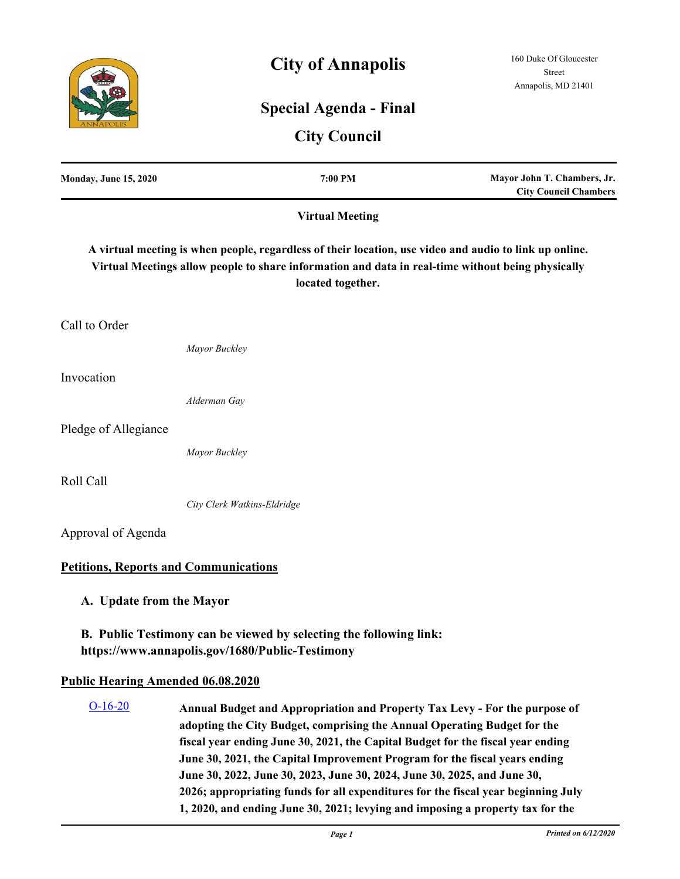# **City of Annapolis**

# **Special Agenda - Final**

## **City Council**

| <b>Monday, June 15, 2020</b>                 |                             | 7:00 PM                | Mayor John T. Chambers, Jr.<br><b>City Council Chambers</b>                                                                                                                                                 |
|----------------------------------------------|-----------------------------|------------------------|-------------------------------------------------------------------------------------------------------------------------------------------------------------------------------------------------------------|
|                                              |                             | <b>Virtual Meeting</b> |                                                                                                                                                                                                             |
|                                              |                             | located together.      | A virtual meeting is when people, regardless of their location, use video and audio to link up online.<br>Virtual Meetings allow people to share information and data in real-time without being physically |
| Call to Order                                |                             |                        |                                                                                                                                                                                                             |
|                                              | Mayor Buckley               |                        |                                                                                                                                                                                                             |
| Invocation                                   |                             |                        |                                                                                                                                                                                                             |
|                                              | Alderman Gay                |                        |                                                                                                                                                                                                             |
| Pledge of Allegiance                         |                             |                        |                                                                                                                                                                                                             |
|                                              | Mayor Buckley               |                        |                                                                                                                                                                                                             |
| Roll Call                                    |                             |                        |                                                                                                                                                                                                             |
|                                              | City Clerk Watkins-Eldridge |                        |                                                                                                                                                                                                             |
| Approval of Agenda                           |                             |                        |                                                                                                                                                                                                             |
| <b>Petitions, Reports and Communications</b> |                             |                        |                                                                                                                                                                                                             |
| A. Update from the Mayor                     |                             |                        |                                                                                                                                                                                                             |

**B. Public Testimony can be viewed by selecting the following link: https://www.annapolis.gov/1680/Public-Testimony**

### **Public Hearing Amended 06.08.2020**

**Annual Budget and Appropriation and Property Tax Levy - For the purpose of adopting the City Budget, comprising the Annual Operating Budget for the fiscal year ending June 30, 2021, the Capital Budget for the fiscal year ending June 30, 2021, the Capital Improvement Program for the fiscal years ending June 30, 2022, June 30, 2023, June 30, 2024, June 30, 2025, and June 30, 2026; appropriating funds for all expenditures for the fiscal year beginning July 1, 2020, and ending June 30, 2021; levying and imposing a property tax for the**  [O-16-20](http://annapolismd.legistar.com/gateway.aspx?m=l&id=/matter.aspx?key=4716)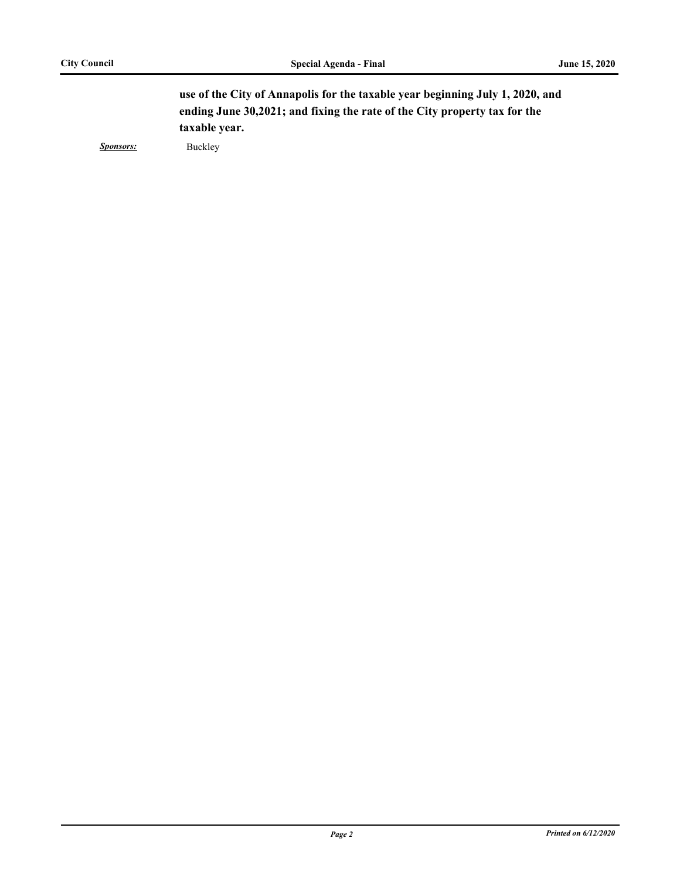**use of the City of Annapolis for the taxable year beginning July 1, 2020, and ending June 30,2021; and fixing the rate of the City property tax for the taxable year.**

*Sponsors:* Buckley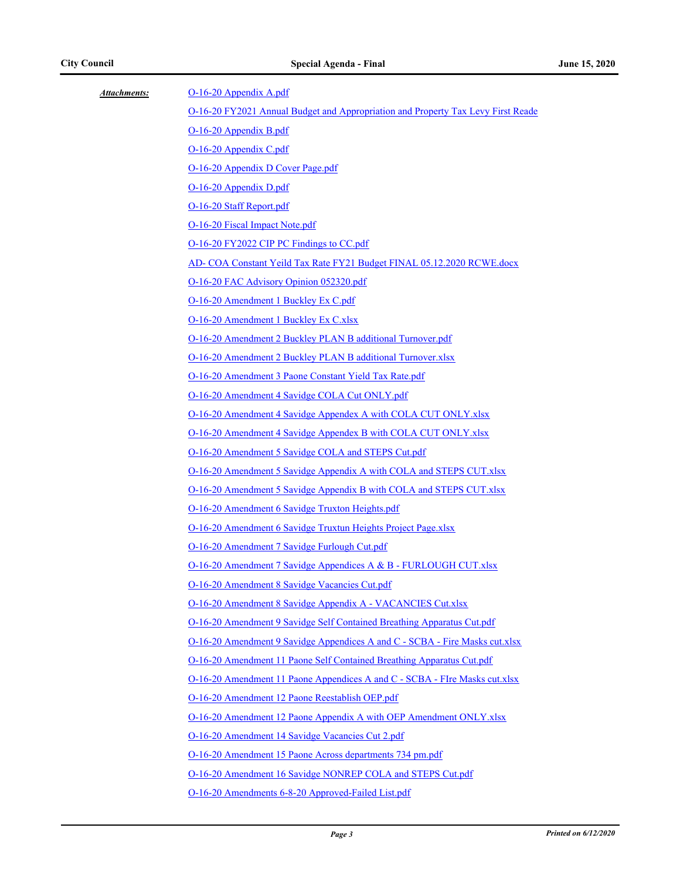| Attachments: | O-16-20 Appendix A.pdf                                                           |  |
|--------------|----------------------------------------------------------------------------------|--|
|              | O-16-20 FY2021 Annual Budget and Appropriation and Property Tax Levy First Reade |  |
|              | O-16-20 Appendix B.pdf                                                           |  |
|              | O-16-20 Appendix C.pdf                                                           |  |
|              | O-16-20 Appendix D Cover Page.pdf                                                |  |
|              | O-16-20 Appendix D.pdf                                                           |  |
|              | O-16-20 Staff Report.pdf                                                         |  |
|              | O-16-20 Fiscal Impact Note.pdf                                                   |  |
|              | O-16-20 FY2022 CIP PC Findings to CC.pdf                                         |  |
|              | AD- COA Constant Yeild Tax Rate FY21 Budget FINAL 05.12.2020 RCWE.docx           |  |
|              | O-16-20 FAC Advisory Opinion 052320.pdf                                          |  |
|              | O-16-20 Amendment 1 Buckley Ex C.pdf                                             |  |
|              | O-16-20 Amendment 1 Buckley Ex C.xlsx                                            |  |
|              | O-16-20 Amendment 2 Buckley PLAN B additional Turnover.pdf                       |  |
|              | O-16-20 Amendment 2 Buckley PLAN B additional Turnover.xlsx                      |  |
|              | O-16-20 Amendment 3 Paone Constant Yield Tax Rate.pdf                            |  |
|              | O-16-20 Amendment 4 Savidge COLA Cut ONLY.pdf                                    |  |
|              | O-16-20 Amendment 4 Savidge Appendex A with COLA CUT ONLY.xlsx                   |  |
|              | O-16-20 Amendment 4 Savidge Appendex B with COLA CUT ONLY.xlsx                   |  |
|              | O-16-20 Amendment 5 Savidge COLA and STEPS Cut.pdf                               |  |
|              | O-16-20 Amendment 5 Savidge Appendix A with COLA and STEPS CUT.xlsx              |  |
|              | O-16-20 Amendment 5 Savidge Appendix B with COLA and STEPS CUT.xlsx              |  |
|              | O-16-20 Amendment 6 Savidge Truxton Heights.pdf                                  |  |
|              | O-16-20 Amendment 6 Savidge Truxtun Heights Project Page.xlsx                    |  |
|              | O-16-20 Amendment 7 Savidge Furlough Cut.pdf                                     |  |
|              | O-16-20 Amendment 7 Savidge Appendices A & B - FURLOUGH CUT.xlsx                 |  |
|              | O-16-20 Amendment 8 Savidge Vacancies Cut.pdf                                    |  |
|              | O-16-20 Amendment 8 Savidge Appendix A - VACANCIES Cut.xlsx                      |  |
|              | O-16-20 Amendment 9 Savidge Self Contained Breathing Apparatus Cut.pdf           |  |
|              | O-16-20 Amendment 9 Savidge Appendices A and C - SCBA - Fire Masks cut.xlsx      |  |
|              | O-16-20 Amendment 11 Paone Self Contained Breathing Apparatus Cut.pdf            |  |
|              | O-16-20 Amendment 11 Paone Appendices A and C - SCBA - Flre Masks cut.xlsx       |  |
|              | O-16-20 Amendment 12 Paone Reestablish OEP.pdf                                   |  |
|              | O-16-20 Amendment 12 Paone Appendix A with OEP Amendment ONLY.xlsx               |  |
|              | O-16-20 Amendment 14 Savidge Vacancies Cut 2.pdf                                 |  |
|              | O-16-20 Amendment 15 Paone Across departments 734 pm.pdf                         |  |
|              | O-16-20 Amendment 16 Savidge NONREP COLA and STEPS Cut.pdf                       |  |
|              | O-16-20 Amendments 6-8-20 Approved-Failed List.pdf                               |  |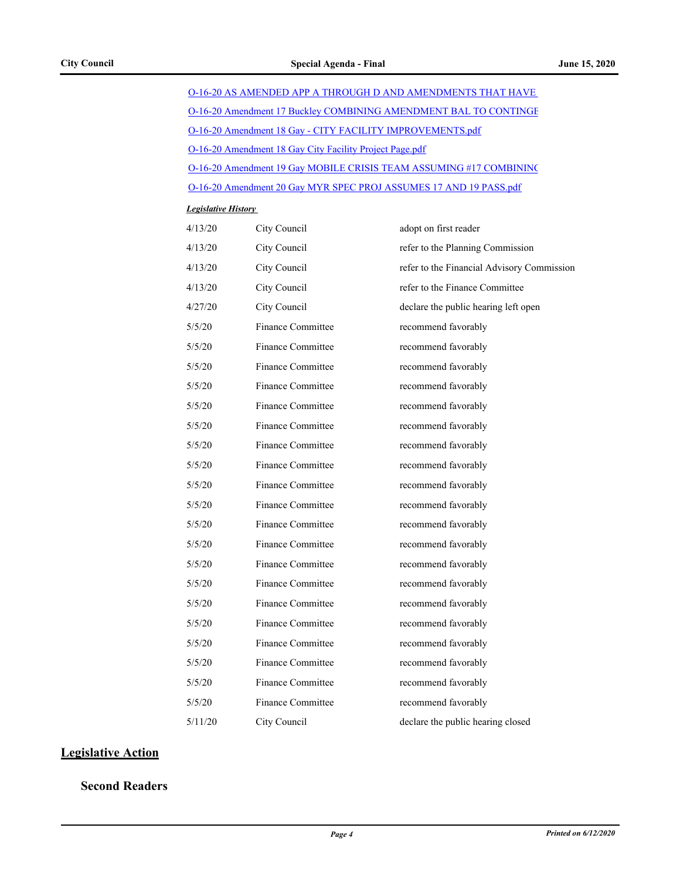| O-16-20 AS AMENDED APP A THROUGH D AND AMENDMENTS THAT HAVE        |  |
|--------------------------------------------------------------------|--|
| O-16-20 Amendment 17 Buckley COMBINING AMENDMENT BAL TO CONTINGE   |  |
| O-16-20 Amendment 18 Gay - CITY FACILITY IMPROVEMENTS.pdf          |  |
| O-16-20 Amendment 18 Gay City Facility Project Page.pdf            |  |
| O-16-20 Amendment 19 Gay MOBILE CRISIS TEAM ASSUMING #17 COMBINING |  |
| O-16-20 Amendment 20 Gay MYR SPEC PROJ ASSUMES 17 AND 19 PASS.pdf  |  |

#### *Legislative History*

| 4/13/20 | City Council             | adopt on first reader                      |
|---------|--------------------------|--------------------------------------------|
| 4/13/20 | City Council             | refer to the Planning Commission           |
| 4/13/20 | City Council             | refer to the Financial Advisory Commission |
| 4/13/20 | City Council             | refer to the Finance Committee             |
| 4/27/20 | City Council             | declare the public hearing left open       |
| 5/5/20  | Finance Committee        | recommend favorably                        |
| 5/5/20  | Finance Committee        | recommend favorably                        |
| 5/5/20  | Finance Committee        | recommend favorably                        |
| 5/5/20  | Finance Committee        | recommend favorably                        |
| 5/5/20  | Finance Committee        | recommend favorably                        |
| 5/5/20  | Finance Committee        | recommend favorably                        |
| 5/5/20  | <b>Finance Committee</b> | recommend favorably                        |
| 5/5/20  | <b>Finance Committee</b> | recommend favorably                        |
| 5/5/20  | <b>Finance Committee</b> | recommend favorably                        |
| 5/5/20  | Finance Committee        | recommend favorably                        |
| 5/5/20  | <b>Finance Committee</b> | recommend favorably                        |
| 5/5/20  | Finance Committee        | recommend favorably                        |
| 5/5/20  | Finance Committee        | recommend favorably                        |
| 5/5/20  | Finance Committee        | recommend favorably                        |
| 5/5/20  | <b>Finance Committee</b> | recommend favorably                        |
| 5/5/20  | <b>Finance Committee</b> | recommend favorably                        |
| 5/5/20  | Finance Committee        | recommend favorably                        |
| 5/5/20  | <b>Finance Committee</b> | recommend favorably                        |
| 5/5/20  | <b>Finance Committee</b> | recommend favorably                        |
| 5/5/20  | Finance Committee        | recommend favorably                        |
| 5/11/20 | City Council             | declare the public hearing closed          |

## **Legislative Action**

**Second Readers**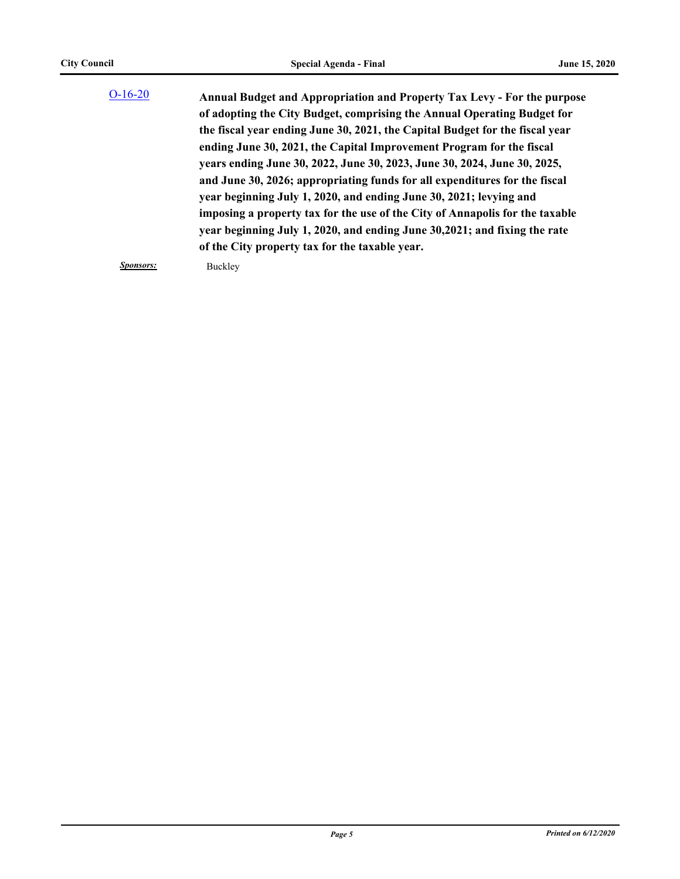| $O-16-20$ | <b>Annual Budget and Appropriation and Property Tax Levy - For the purpose</b> |
|-----------|--------------------------------------------------------------------------------|
|           | of adopting the City Budget, comprising the Annual Operating Budget for        |
|           | the fiscal year ending June 30, 2021, the Capital Budget for the fiscal year   |
|           | ending June 30, 2021, the Capital Improvement Program for the fiscal           |
|           | years ending June 30, 2022, June 30, 2023, June 30, 2024, June 30, 2025,       |
|           | and June 30, 2026; appropriating funds for all expenditures for the fiscal     |
|           | year beginning July 1, 2020, and ending June 30, 2021; levying and             |
|           | imposing a property tax for the use of the City of Annapolis for the taxable   |
|           | year beginning July 1, 2020, and ending June 30, 2021; and fixing the rate     |
|           | of the City property tax for the taxable year.                                 |
|           |                                                                                |

*Sponsors:* Buckley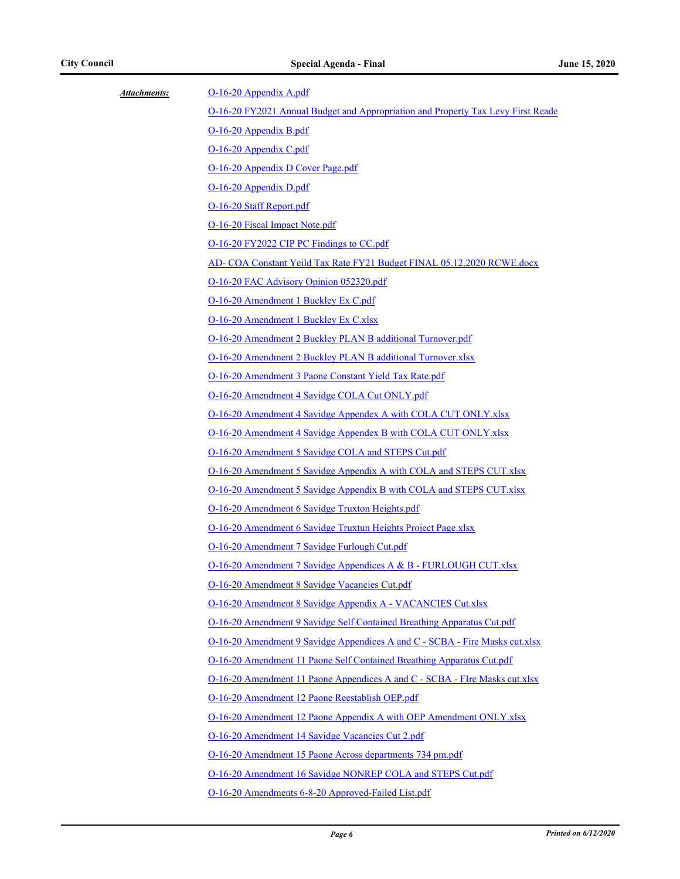| Attachments: | O-16-20 Appendix A.pdf                                                                                           |  |
|--------------|------------------------------------------------------------------------------------------------------------------|--|
|              | O-16-20 FY2021 Annual Budget and Appropriation and Property Tax Levy First Reade                                 |  |
|              | O-16-20 Appendix B.pdf<br>O-16-20 Appendix C.pdf                                                                 |  |
|              |                                                                                                                  |  |
|              | O-16-20 Appendix D Cover Page.pdf                                                                                |  |
|              | O-16-20 Appendix D.pdf                                                                                           |  |
|              | O-16-20 Staff Report.pdf                                                                                         |  |
|              | O-16-20 Fiscal Impact Note.pdf                                                                                   |  |
|              | O-16-20 FY2022 CIP PC Findings to CC.pdf                                                                         |  |
|              | AD- COA Constant Yeild Tax Rate FY21 Budget FINAL 05.12.2020 RCWE.docx                                           |  |
|              | O-16-20 FAC Advisory Opinion 052320.pdf                                                                          |  |
|              | O-16-20 Amendment 1 Buckley Ex C.pdf                                                                             |  |
|              | O-16-20 Amendment 1 Buckley Ex C.xlsx                                                                            |  |
|              | O-16-20 Amendment 2 Buckley PLAN B additional Turnover.pdf                                                       |  |
|              | O-16-20 Amendment 2 Buckley PLAN B additional Turnover.xlsx                                                      |  |
|              | O-16-20 Amendment 3 Paone Constant Yield Tax Rate.pdf                                                            |  |
|              | O-16-20 Amendment 4 Savidge COLA Cut ONLY.pdf                                                                    |  |
|              | O-16-20 Amendment 4 Savidge Appendex A with COLA CUT ONLY.xlsx                                                   |  |
|              | O-16-20 Amendment 4 Savidge Appendex B with COLA CUT ONLY.xlsx                                                   |  |
|              | O-16-20 Amendment 5 Savidge COLA and STEPS Cut.pdf                                                               |  |
|              | O-16-20 Amendment 5 Savidge Appendix A with COLA and STEPS CUT.xlsx                                              |  |
|              | O-16-20 Amendment 5 Savidge Appendix B with COLA and STEPS CUT.xlsx                                              |  |
|              | O-16-20 Amendment 6 Savidge Truxton Heights.pdf<br>O-16-20 Amendment 6 Savidge Truxtun Heights Project Page.xlsx |  |
|              |                                                                                                                  |  |
|              | O-16-20 Amendment 7 Savidge Furlough Cut.pdf                                                                     |  |
|              | O-16-20 Amendment 7 Savidge Appendices A & B - FURLOUGH CUT.xlsx                                                 |  |
|              | O-16-20 Amendment 8 Savidge Vacancies Cut.pdf                                                                    |  |
|              | O-16-20 Amendment 8 Savidge Appendix A - VACANCIES Cut.xlsx                                                      |  |
|              | O-16-20 Amendment 9 Savidge Self Contained Breathing Apparatus Cut.pdf                                           |  |
|              | O-16-20 Amendment 9 Savidge Appendices A and C - SCBA - Fire Masks cut.xlsx                                      |  |
|              | O-16-20 Amendment 11 Paone Self Contained Breathing Apparatus Cut.pdf                                            |  |
|              | O-16-20 Amendment 11 Paone Appendices A and C - SCBA - FIre Masks cut.xlsx                                       |  |
|              | O-16-20 Amendment 12 Paone Reestablish OEP.pdf                                                                   |  |
|              | O-16-20 Amendment 12 Paone Appendix A with OEP Amendment ONLY.xlsx                                               |  |
|              | O-16-20 Amendment 14 Savidge Vacancies Cut 2.pdf                                                                 |  |
|              | O-16-20 Amendment 15 Paone Across departments 734 pm.pdf                                                         |  |
|              | O-16-20 Amendment 16 Savidge NONREP COLA and STEPS Cut.pdf                                                       |  |
|              | O-16-20 Amendments 6-8-20 Approved-Failed List.pdf                                                               |  |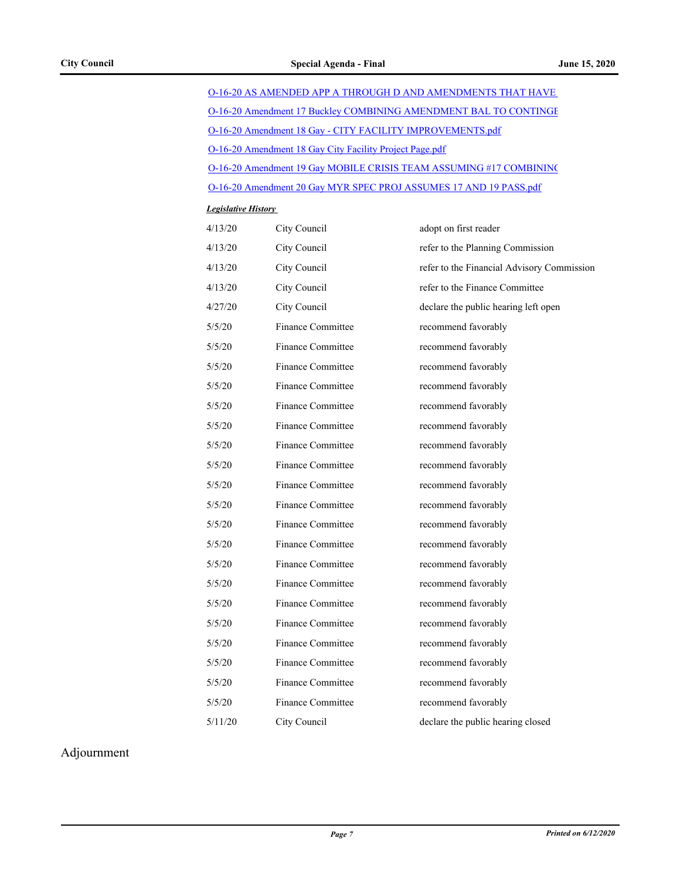| O-16-20 AS AMENDED APP A THROUGH D AND AMENDMENTS THAT HAVE        |  |
|--------------------------------------------------------------------|--|
| O-16-20 Amendment 17 Buckley COMBINING AMENDMENT BAL TO CONTINGE   |  |
| O-16-20 Amendment 18 Gay - CITY FACILITY IMPROVEMENTS.pdf          |  |
| O-16-20 Amendment 18 Gay City Facility Project Page.pdf            |  |
| O-16-20 Amendment 19 Gay MOBILE CRISIS TEAM ASSUMING #17 COMBINING |  |
| O-16-20 Amendment 20 Gay MYR SPEC PROJ ASSUMES 17 AND 19 PASS.pdf  |  |

#### *Legislative History*

| 4/13/20 | City Council             | adopt on first reader                      |
|---------|--------------------------|--------------------------------------------|
| 4/13/20 | City Council             | refer to the Planning Commission           |
| 4/13/20 | City Council             | refer to the Financial Advisory Commission |
| 4/13/20 | City Council             | refer to the Finance Committee             |
| 4/27/20 | City Council             | declare the public hearing left open       |
| 5/5/20  | <b>Finance Committee</b> | recommend favorably                        |
| 5/5/20  | <b>Finance Committee</b> | recommend favorably                        |
| 5/5/20  | <b>Finance Committee</b> | recommend favorably                        |
| 5/5/20  | Finance Committee        | recommend favorably                        |
| 5/5/20  | Finance Committee        | recommend favorably                        |
| 5/5/20  | <b>Finance Committee</b> | recommend favorably                        |
| 5/5/20  | <b>Finance Committee</b> | recommend favorably                        |
| 5/5/20  | <b>Finance Committee</b> | recommend favorably                        |
| 5/5/20  | <b>Finance Committee</b> | recommend favorably                        |
| 5/5/20  | <b>Finance Committee</b> | recommend favorably                        |
| 5/5/20  | <b>Finance Committee</b> | recommend favorably                        |
| 5/5/20  | <b>Finance Committee</b> | recommend favorably                        |
| 5/5/20  | <b>Finance Committee</b> | recommend favorably                        |
| 5/5/20  | <b>Finance Committee</b> | recommend favorably                        |
| 5/5/20  | <b>Finance Committee</b> | recommend favorably                        |
| 5/5/20  | Finance Committee        | recommend favorably                        |
| 5/5/20  | Finance Committee        | recommend favorably                        |
| 5/5/20  | <b>Finance Committee</b> | recommend favorably                        |
| 5/5/20  | <b>Finance Committee</b> | recommend favorably                        |
| 5/5/20  | <b>Finance Committee</b> | recommend favorably                        |
| 5/11/20 | City Council             | declare the public hearing closed          |

Adjournment